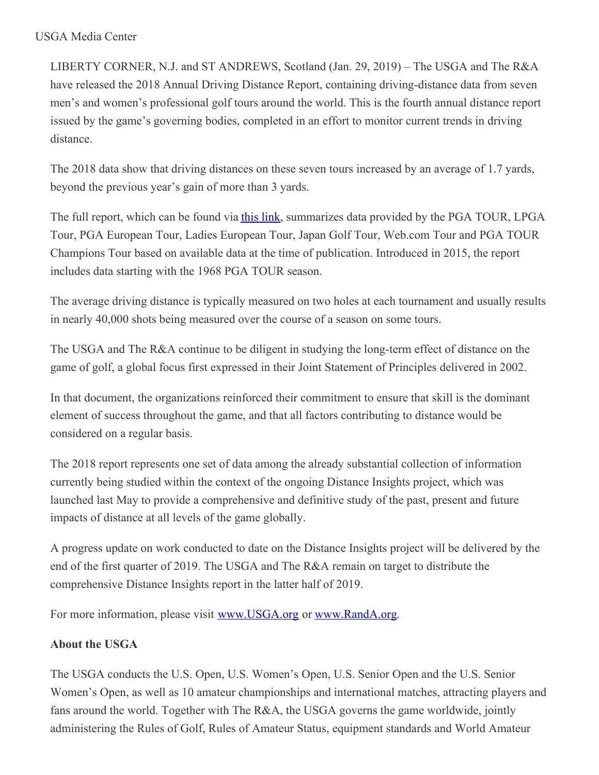LIBERTY CORNER, N.J. and ST ANDREWS, Scotland (Jan. 29, 2019) – The USGA and The R&A have released the 2018 Annual Driving Distance Report, containing driving-distance data from seven men's and women's professional golf tours around the world. This is the fourth annual distance report issued by the game's governing bodies, completed in an effort to monitor current trends in driving distance.

The 2018 data show that driving distances on these seven tours increased by an average of 1.7 yards, beyond the previous year's gain of more than 3 yards.

The full report, which can be found via this [link](http://www.usga.org/content/dam/usga/pdf/driving-distance/2018 Annual Driving Distance Report.pdf), summarizes data provided by the PGA TOUR, LPGA Tour, PGA European Tour, Ladies European Tour, Japan Golf Tour, Web.com Tour and PGA TOUR Champions Tour based on available data at the time of publication. Introduced in 2015, the report includes data starting with the 1968 PGA TOUR season.

The average driving distance is typically measured on two holes at each tournament and usually results in nearly 40,000 shots being measured over the course of a season on some tours.

The USGA and The R&A continue to be diligent in studying the long-term effect of distance on the game of golf, a global focus first expressed in their Joint Statement of Principles delivered in 2002.

In that document, the organizations reinforced their commitment to ensure that skill is the dominant element of success throughout the game, and that all factors contributing to distance would be considered on a regular basis.

The 2018 report represents one set of data among the already substantial collection of information currently being studied within the context of the ongoing Distance Insights project, which was launched last May to provide a comprehensive and definitive study of the past, present and future impacts of distance at all levels of the game globally.

A progress update on work conducted to date on the Distance Insights project will be delivered by the end of the first quarter of 2019. The USGA and The R&A remain on target to distribute the comprehensive Distance Insights report in the latter half of 2019.

For more information, please visit [www.USGA.org](http://www.usga.org/content/usga/home-page/advancing-the-game/distance-insights.html) or [www.RandA.org](https://www.randa.org/theranda/distance-insights).

## **About the USGA**

The USGA conducts the U.S. Open, U.S. Women's Open, U.S. Senior Open and the U.S. Senior Women's Open, as well as 10 amateur championships and international matches, attracting players and fans around the world. Together with The R&A, the USGA governs the game worldwide, jointly administering the Rules of Golf, Rules of Amateur Status, equipment standards and World Amateur